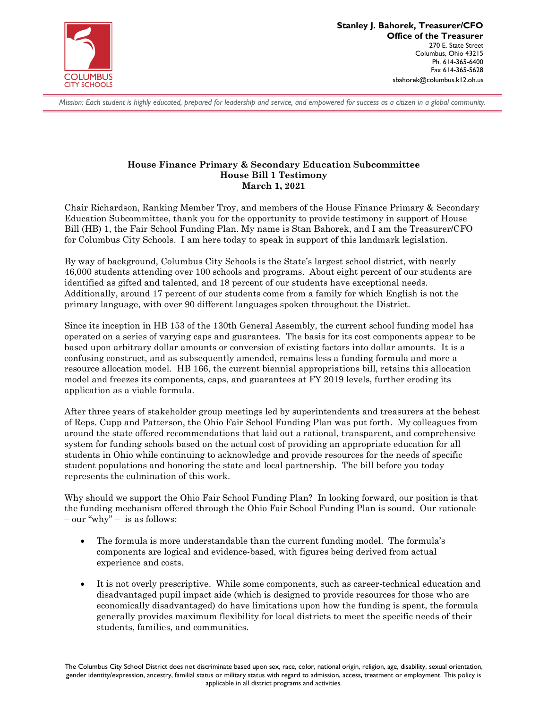

*Mission: Each student is highly educated, prepared for leadership and service, and empowered for success as a citizen in a global community.*

## **House Finance Primary & Secondary Education Subcommittee House Bill 1 Testimony March 1, 2021**

Chair Richardson, Ranking Member Troy, and members of the House Finance Primary & Secondary Education Subcommittee, thank you for the opportunity to provide testimony in support of House Bill (HB) 1, the Fair School Funding Plan. My name is Stan Bahorek, and I am the Treasurer/CFO for Columbus City Schools. I am here today to speak in support of this landmark legislation.

By way of background, Columbus City Schools is the State's largest school district, with nearly 46,000 students attending over 100 schools and programs. About eight percent of our students are identified as gifted and talented, and 18 percent of our students have exceptional needs. Additionally, around 17 percent of our students come from a family for which English is not the primary language, with over 90 different languages spoken throughout the District.

Since its inception in HB 153 of the 130th General Assembly, the current school funding model has operated on a series of varying caps and guarantees. The basis for its cost components appear to be based upon arbitrary dollar amounts or conversion of existing factors into dollar amounts. It is a confusing construct, and as subsequently amended, remains less a funding formula and more a resource allocation model. HB 166, the current biennial appropriations bill, retains this allocation model and freezes its components, caps, and guarantees at FY 2019 levels, further eroding its application as a viable formula.

After three years of stakeholder group meetings led by superintendents and treasurers at the behest of Reps. Cupp and Patterson, the Ohio Fair School Funding Plan was put forth. My colleagues from around the state offered recommendations that laid out a rational, transparent, and comprehensive system for funding schools based on the actual cost of providing an appropriate education for all students in Ohio while continuing to acknowledge and provide resources for the needs of specific student populations and honoring the state and local partnership. The bill before you today represents the culmination of this work.

Why should we support the Ohio Fair School Funding Plan? In looking forward, our position is that the funding mechanism offered through the Ohio Fair School Funding Plan is sound. Our rationale  $-$  our "why"  $-$  is as follows:

- The formula is more understandable than the current funding model. The formula's components are logical and evidence-based, with figures being derived from actual experience and costs.
- It is not overly prescriptive. While some components, such as career-technical education and disadvantaged pupil impact aide (which is designed to provide resources for those who are economically disadvantaged) do have limitations upon how the funding is spent, the formula generally provides maximum flexibility for local districts to meet the specific needs of their students, families, and communities.